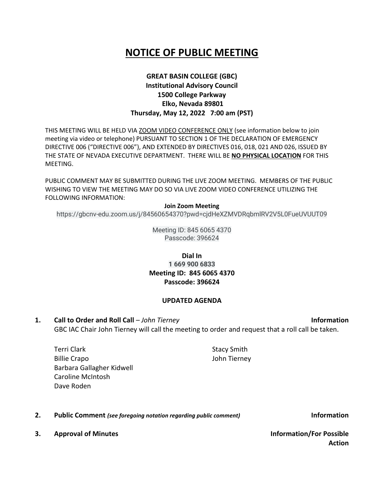# **NOTICE OF PUBLIC MEETING**

## **GREAT BASIN COLLEGE (GBC) Institutional Advisory Council 1500 College Parkway Elko, Nevada 89801 Thursday, May 12, 2022 7:00 am (PST)**

THIS MEETING WILL BE HELD VIA ZOOM VIDEO CONFERENCE ONLY (see information below to join meeting via video or telephone) PURSUANT TO SECTION 1 OF THE DECLARATION OF EMERGENCY DIRECTIVE 006 ("DIRECTIVE 006"), AND EXTENDED BY DIRECTIVES 016, 018, 021 AND 026, ISSUED BY THE STATE OF NEVADA EXECUTIVE DEPARTMENT. THERE WILL BE **NO PHYSICAL LOCATION** FOR THIS MEETING.

PUBLIC COMMENT MAY BE SUBMITTED DURING THE LIVE ZOOM MEETING. MEMBERS OF THE PUBLIC WISHING TO VIEW THE MEETING MAY DO SO VIA LIVE ZOOM VIDEO CONFERENCE UTILIZING THE FOLLOWING INFORMATION:

#### **Join Zoom Meeting**

https://gbcnv-edu.zoom.us/j/84560654370?pwd=cjdHeXZMVDRqbmlRV2V5L0FueUVUUT09

Meeting ID: 845 6065 4370 Passcode: 396624

## **Dial In 1 669 900 6833 Meeting ID: 845 6065 4370 Passcode: 396624**

#### **UPDATED AGENDA**

**1. Call to Order and Roll Call** – *John Tierney* **Information** GBC IAC Chair John Tierney will call the meeting to order and request that a roll call be taken.

Terri Clark Billie Crapo Barbara Gallagher Kidwell Caroline McIntosh Dave Roden

**2. Public Comment** *(see foregoing notation regarding public comment)* **Information**

**3. Approval of Minutes Information/For Possible** 

**Action**

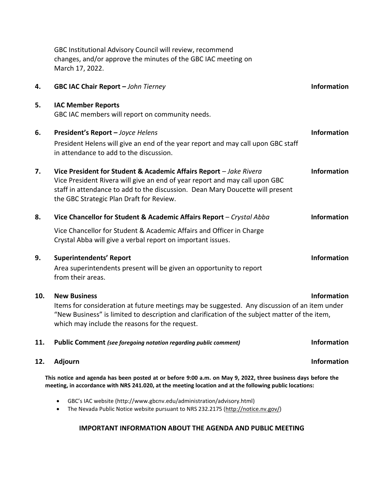|     | GBC Institutional Advisory Council will review, recommend<br>changes, and/or approve the minutes of the GBC IAC meeting on<br>March 17, 2022.                                                                                                                                  |                    |
|-----|--------------------------------------------------------------------------------------------------------------------------------------------------------------------------------------------------------------------------------------------------------------------------------|--------------------|
| 4.  | GBC IAC Chair Report - John Tierney                                                                                                                                                                                                                                            | <b>Information</b> |
| 5.  | <b>IAC Member Reports</b><br>GBC IAC members will report on community needs.                                                                                                                                                                                                   |                    |
| 6.  | President's Report - Joyce Helens                                                                                                                                                                                                                                              | <b>Information</b> |
|     | President Helens will give an end of the year report and may call upon GBC staff<br>in attendance to add to the discussion.                                                                                                                                                    |                    |
| 7.  | Vice President for Student & Academic Affairs Report - Jake Rivera<br>Vice President Rivera will give an end of year report and may call upon GBC<br>staff in attendance to add to the discussion. Dean Mary Doucette will present<br>the GBC Strategic Plan Draft for Review. | <b>Information</b> |
| 8.  | Vice Chancellor for Student & Academic Affairs Report - Crystal Abba                                                                                                                                                                                                           | <b>Information</b> |
|     | Vice Chancellor for Student & Academic Affairs and Officer in Charge<br>Crystal Abba will give a verbal report on important issues.                                                                                                                                            |                    |
| 9.  | <b>Superintendents' Report</b><br>Area superintendents present will be given an opportunity to report<br>from their areas.                                                                                                                                                     | <b>Information</b> |
| 10. | <b>New Business</b><br>Items for consideration at future meetings may be suggested. Any discussion of an item under<br>"New Business" is limited to description and clarification of the subject matter of the item,<br>which may include the reasons for the request.         | <b>Information</b> |
| 11. | Public Comment (see foregoing notation regarding public comment)                                                                                                                                                                                                               | <b>Information</b> |
| 12. | <b>Adjourn</b>                                                                                                                                                                                                                                                                 | <b>Information</b> |
|     | This notice and agenda has been posted at or before 9:00 a.m. on May 9, 2022, three business days before the<br>meeting, in accordance with NRS 241.020, at the meeting location and at the following public locations:                                                        |                    |
|     | GBC's IAC website (http://www.gbcnv.edu/administration/advisory.html)<br>$\bullet$<br>The Nevada Public Notice website pursuant to NRS 232.2175 (http://notice.nv.gov/)<br>$\bullet$                                                                                           |                    |

## **IMPORTANT INFORMATION ABOUT THE AGENDA AND PUBLIC MEETING**